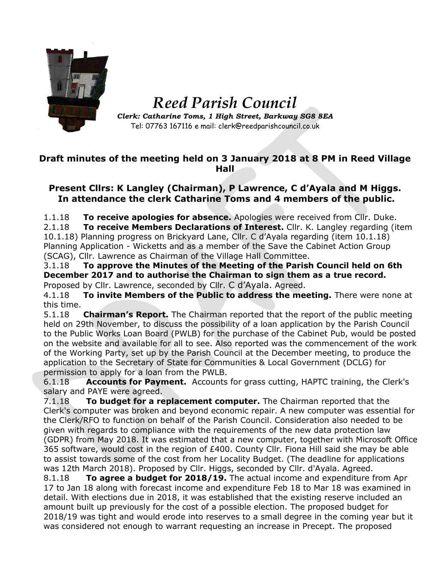

*Reed Parish Council Clerk: Catharine Toms, 1 High Street, Barkway SG8 8EA*

Tel: 07763 167116 e mail: clerk@reedparishcouncil.co.uk

## **Draft minutes of the meeting held on 3 January 2018 at 8 PM in Reed Village Hall**

## **Present Cllrs: K Langley (Chairman), P Lawrence, C d'Ayala and M Higgs. In attendance the clerk Catharine Toms and 4 members of the public.**

1.1.18 **To receive apologies for absence.** Apologies were received from Cllr. Duke. 2.1.18 **To receive Members Declarations of Interest.** Cllr. K. Langley regarding (item 10.1.18) Planning progress on Brickyard Lane, Cllr. C d'Ayala regarding (item 10.1.18) Planning Application - Wicketts and as a member of the Save the Cabinet Action Group (SCAG), Cllr. Lawrence as Chairman of the Village Hall Committee.

3.1.18 **To approve the Minutes of the Meeting of the Parish Council held on 6th December 2017 and to authorise the Chairman to sign them as a true record.** Proposed by Cllr. Lawrence, seconded by Cllr. C d'Ayala. Agreed.

4.1.18 **To invite Members of the Public to address the meeting.** There were none at this time.

5.1.18 **Chairman's Report.** The Chairman reported that the report of the public meeting held on 29th November, to discuss the possibility of a loan application by the Parish Council to the Public Works Loan Board (PWLB) for the purchase of the Cabinet Pub, would be posted on the website and available for all to see. Also reported was the commencement of the work of the Working Party, set up by the Parish Council at the December meeting, to produce the application to the Secretary of State for Communities & Local Government (DCLG) for permission to apply for a loan from the PWLB.

6.1.18 **Accounts for Payment.** Accounts for grass cutting, HAPTC training, the Clerk's salary and PAYE were agreed.

7.1.18 **To budget for a replacement computer.** The Chairman reported that the Clerk's computer was broken and beyond economic repair. A new computer was essential for the Clerk/RFO to function on behalf of the Parish Council. Consideration also needed to be given with regards to compliance with the requirements of the new data protection law (GDPR) from May 2018. It was estimated that a new computer, together with Microsoft Office 365 software, would cost in the region of £400. County Cllr. Fiona Hill said she may be able to assist towards some of the cost from her Locality Budget. (The deadline for applications was 12th March 2018). Proposed by Cllr. Higgs, seconded by Cllr. d'Ayala. Agreed.

8.1.18 **To agree a budget for 2018/19.** The actual income and expenditure from Apr 17 to Jan 18 along with forecast income and expenditure Feb 18 to Mar 18 was examined in detail. With elections due in 2018, it was established that the existing reserve included an amount built up previously for the cost of a possible election. The proposed budget for 2018/19 was tight and would erode into reserves to a small degree in the coming year but it was considered not enough to warrant requesting an increase in Precept. The proposed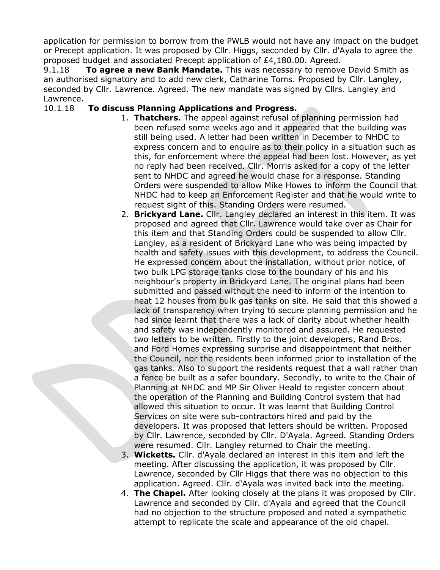application for permission to borrow from the PWLB would not have any impact on the budget or Precept application. It was proposed by Cllr. Higgs, seconded by Cllr. d'Ayala to agree the proposed budget and associated Precept application of £4,180.00. Agreed.

9.1.18 **To agree a new Bank Mandate.** This was necessary to remove David Smith as an authorised signatory and to add new clerk, Catharine Toms. Proposed by Cllr. Langley, seconded by Cllr. Lawrence. Agreed. The new mandate was signed by Cllrs. Langley and Lawrence.

## 10.1.18 **To discuss Planning Applications and Progress.**

- 1. **Thatchers.** The appeal against refusal of planning permission had been refused some weeks ago and it appeared that the building was still being used. A letter had been written in December to NHDC to express concern and to enquire as to their policy in a situation such as this, for enforcement where the appeal had been lost. However, as yet no reply had been received. Cllr. Morris asked for a copy of the letter sent to NHDC and agreed he would chase for a response. Standing Orders were suspended to allow Mike Howes to inform the Council that NHDC had to keep an Enforcement Register and that he would write to request sight of this. Standing Orders were resumed.
- 2. **Brickyard Lane.** Cllr. Langley declared an interest in this item. It was proposed and agreed that Cllr. Lawrence would take over as Chair for this item and that Standing Orders could be suspended to allow Cllr. Langley, as a resident of Brickyard Lane who was being impacted by health and safety issues with this development, to address the Council. He expressed concern about the installation, without prior notice, of two bulk LPG storage tanks close to the boundary of his and his neighbour's property in Brickyard Lane. The original plans had been submitted and passed without the need to inform of the intention to heat 12 houses from bulk gas tanks on site. He said that this showed a lack of transparency when trying to secure planning permission and he had since learnt that there was a lack of clarity about whether health and safety was independently monitored and assured. He requested two letters to be written. Firstly to the joint developers, Rand Bros. and Ford Homes expressing surprise and disappointment that neither the Council, nor the residents been informed prior to installation of the gas tanks. Also to support the residents request that a wall rather than a fence be built as a safer boundary. Secondly, to write to the Chair of Planning at NHDC and MP Sir Oliver Heald to register concern about the operation of the Planning and Building Control system that had allowed this situation to occur. It was learnt that Building Control Services on site were sub-contractors hired and paid by the developers. It was proposed that letters should be written. Proposed by Cllr. Lawrence, seconded by Cllr. D'Ayala. Agreed. Standing Orders were resumed. Cllr. Langley returned to Chair the meeting.
- 3. **Wicketts.** Cllr. d'Ayala declared an interest in this item and left the meeting. After discussing the application, it was proposed by Cllr. Lawrence, seconded by Cllr Higgs that there was no objection to this application. Agreed. Cllr. d'Ayala was invited back into the meeting.
- 4. **The Chapel.** After looking closely at the plans it was proposed by Cllr. Lawrence and seconded by Cllr. d'Ayala and agreed that the Council had no objection to the structure proposed and noted a sympathetic attempt to replicate the scale and appearance of the old chapel.